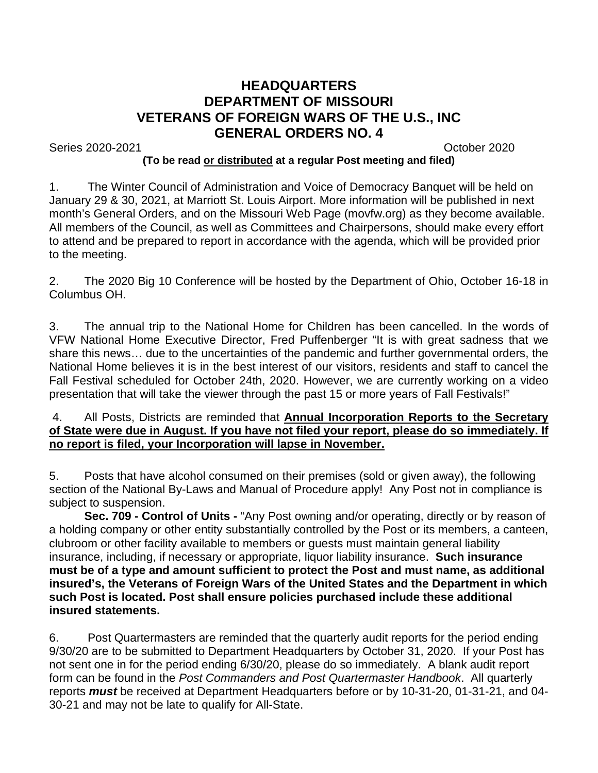## **HEADQUARTERS DEPARTMENT OF MISSOURI VETERANS OF FOREIGN WARS OF THE U.S., INC GENERAL ORDERS NO. 4**

Series 2020-2021 October 2020

## **(To be read or distributed at a regular Post meeting and filed)**

1. The Winter Council of Administration and Voice of Democracy Banquet will be held on January 29 & 30, 2021, at Marriott St. Louis Airport. More information will be published in next month's General Orders, and on the Missouri Web Page (movfw.org) as they become available. All members of the Council, as well as Committees and Chairpersons, should make every effort to attend and be prepared to report in accordance with the agenda, which will be provided prior to the meeting.

2. The 2020 Big 10 Conference will be hosted by the Department of Ohio, October 16-18 in Columbus OH.

3. The annual trip to the National Home for Children has been cancelled. In the words of VFW National Home Executive Director, Fred Puffenberger "It is with great sadness that we share this news… due to the uncertainties of the pandemic and further governmental orders, the National Home believes it is in the best interest of our visitors, residents and staff to cancel the Fall Festival scheduled for October 24th, 2020. However, we are currently working on a video presentation that will take the viewer through the past 15 or more years of Fall Festivals!"

## 4. All Posts, Districts are reminded that **Annual Incorporation Reports to the Secretary of State were due in August. If you have not filed your report, please do so immediately. If no report is filed, your Incorporation will lapse in November.**

5. Posts that have alcohol consumed on their premises (sold or given away), the following section of the National By-Laws and Manual of Procedure apply! Any Post not in compliance is subject to suspension.

**Sec. 709 - Control of Units -** "Any Post owning and/or operating, directly or by reason of a holding company or other entity substantially controlled by the Post or its members, a canteen, clubroom or other facility available to members or guests must maintain general liability insurance, including, if necessary or appropriate, liquor liability insurance. **Such insurance must be of a type and amount sufficient to protect the Post and must name, as additional insured's, the Veterans of Foreign Wars of the United States and the Department in which such Post is located. Post shall ensure policies purchased include these additional insured statements.**

6. Post Quartermasters are reminded that the quarterly audit reports for the period ending 9/30/20 are to be submitted to Department Headquarters by October 31, 2020. If your Post has not sent one in for the period ending 6/30/20, please do so immediately. A blank audit report form can be found in the *Post Commanders and Post Quartermaster Handbook*. All quarterly reports *must* be received at Department Headquarters before or by 10-31-20, 01-31-21, and 04- 30-21 and may not be late to qualify for All-State.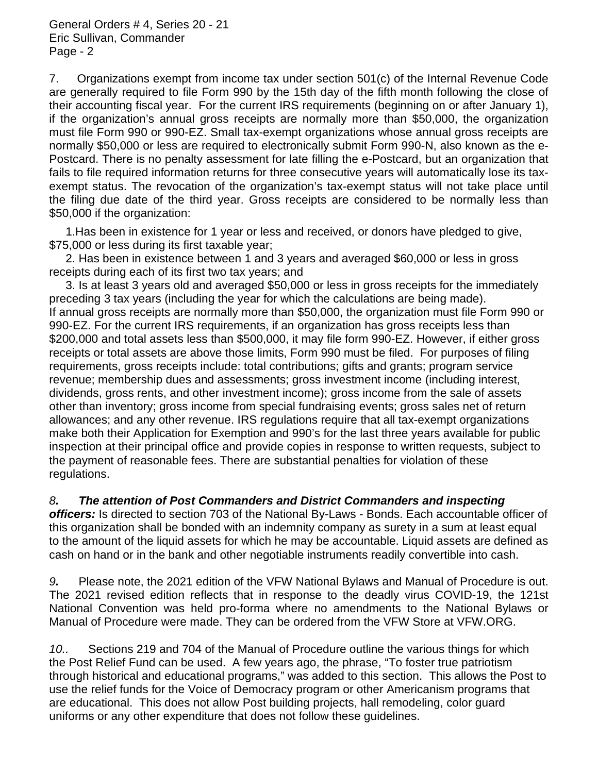7. Organizations exempt from income tax under section 501(c) of the Internal Revenue Code are generally required to file Form 990 by the 15th day of the fifth month following the close of their accounting fiscal year. For the current IRS requirements (beginning on or after January 1), if the organization's annual gross receipts are normally more than \$50,000, the organization must file Form 990 or 990-EZ. Small tax-exempt organizations whose annual gross receipts are normally \$50,000 or less are required to electronically submit Form 990-N, also known as the e-Postcard. There is no penalty assessment for late filling the e-Postcard, but an organization that fails to file required information returns for three consecutive years will automatically lose its taxexempt status. The revocation of the organization's tax-exempt status will not take place until the filing due date of the third year. Gross receipts are considered to be normally less than \$50,000 if the organization:

 1.Has been in existence for 1 year or less and received, or donors have pledged to give, \$75,000 or less during its first taxable year;

 2. Has been in existence between 1 and 3 years and averaged \$60,000 or less in gross receipts during each of its first two tax years; and

 3. Is at least 3 years old and averaged \$50,000 or less in gross receipts for the immediately preceding 3 tax years (including the year for which the calculations are being made). If annual gross receipts are normally more than \$50,000, the organization must file Form 990 or 990-EZ. For the current IRS requirements, if an organization has gross receipts less than \$200,000 and total assets less than \$500,000, it may file form 990-EZ. However, if either gross receipts or total assets are above those limits, Form 990 must be filed. For purposes of filing requirements, gross receipts include: total contributions; gifts and grants; program service revenue; membership dues and assessments; gross investment income (including interest, dividends, gross rents, and other investment income); gross income from the sale of assets other than inventory; gross income from special fundraising events; gross sales net of return allowances; and any other revenue. IRS regulations require that all tax-exempt organizations make both their Application for Exemption and 990's for the last three years available for public inspection at their principal office and provide copies in response to written requests, subject to the payment of reasonable fees. There are substantial penalties for violation of these regulations.

## *8. The attention of Post Commanders and District Commanders and inspecting*

*officers:* Is directed to section 703 of the National By-Laws - Bonds. Each accountable officer of this organization shall be bonded with an indemnity company as surety in a sum at least equal to the amount of the liquid assets for which he may be accountable. Liquid assets are defined as cash on hand or in the bank and other negotiable instruments readily convertible into cash.

*9.* Please note, the 2021 edition of the VFW National Bylaws and Manual of Procedure is out. The 2021 revised edition reflects that in response to the deadly virus COVID-19, the 121st National Convention was held pro-forma where no amendments to the National Bylaws or Manual of Procedure were made. They can be ordered from the VFW Store at VFW.ORG.

*10..* Sections 219 and 704 of the Manual of Procedure outline the various things for which the Post Relief Fund can be used. A few years ago, the phrase, "To foster true patriotism through historical and educational programs," was added to this section. This allows the Post to use the relief funds for the Voice of Democracy program or other Americanism programs that are educational. This does not allow Post building projects, hall remodeling, color guard uniforms or any other expenditure that does not follow these guidelines.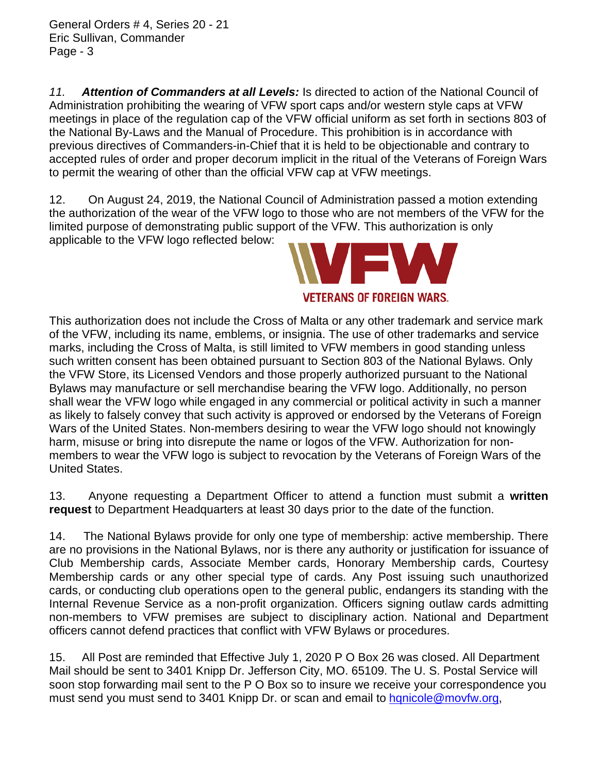General Orders # 4, Series 20 - 21 Eric Sullivan, Commander Page - 3

*11. Attention of Commanders at all Levels:* Is directed to action of the National Council of Administration prohibiting the wearing of VFW sport caps and/or western style caps at VFW meetings in place of the regulation cap of the VFW official uniform as set forth in sections 803 of the National By-Laws and the Manual of Procedure. This prohibition is in accordance with previous directives of Commanders-in-Chief that it is held to be objectionable and contrary to accepted rules of order and proper decorum implicit in the ritual of the Veterans of Foreign Wars to permit the wearing of other than the official VFW cap at VFW meetings.

12. On August 24, 2019, the National Council of Administration passed a motion extending the authorization of the wear of the VFW logo to those who are not members of the VFW for the limited purpose of demonstrating public support of the VFW. This authorization is only applicable to the VFW logo reflected below:



This authorization does not include the Cross of Malta or any other trademark and service mark of the VFW, including its name, emblems, or insignia. The use of other trademarks and service marks, including the Cross of Malta, is still limited to VFW members in good standing unless such written consent has been obtained pursuant to Section 803 of the National Bylaws. Only the VFW Store, its Licensed Vendors and those properly authorized pursuant to the National Bylaws may manufacture or sell merchandise bearing the VFW logo. Additionally, no person shall wear the VFW logo while engaged in any commercial or political activity in such a manner as likely to falsely convey that such activity is approved or endorsed by the Veterans of Foreign Wars of the United States. Non-members desiring to wear the VFW logo should not knowingly harm, misuse or bring into disrepute the name or logos of the VFW. Authorization for nonmembers to wear the VFW logo is subject to revocation by the Veterans of Foreign Wars of the United States.

13. Anyone requesting a Department Officer to attend a function must submit a **written request** to Department Headquarters at least 30 days prior to the date of the function.

14. The National Bylaws provide for only one type of membership: active membership. There are no provisions in the National Bylaws, nor is there any authority or justification for issuance of Club Membership cards, Associate Member cards, Honorary Membership cards, Courtesy Membership cards or any other special type of cards. Any Post issuing such unauthorized cards, or conducting club operations open to the general public, endangers its standing with the Internal Revenue Service as a non-profit organization. Officers signing outlaw cards admitting non-members to VFW premises are subject to disciplinary action. National and Department officers cannot defend practices that conflict with VFW Bylaws or procedures.

15. All Post are reminded that Effective July 1, 2020 P O Box 26 was closed. All Department Mail should be sent to 3401 Knipp Dr. Jefferson City, MO. 65109. The U. S. Postal Service will soon stop forwarding mail sent to the P O Box so to insure we receive your correspondence you must send you must send to 3401 Knipp Dr. or scan and email to hanicole@movfw.org,